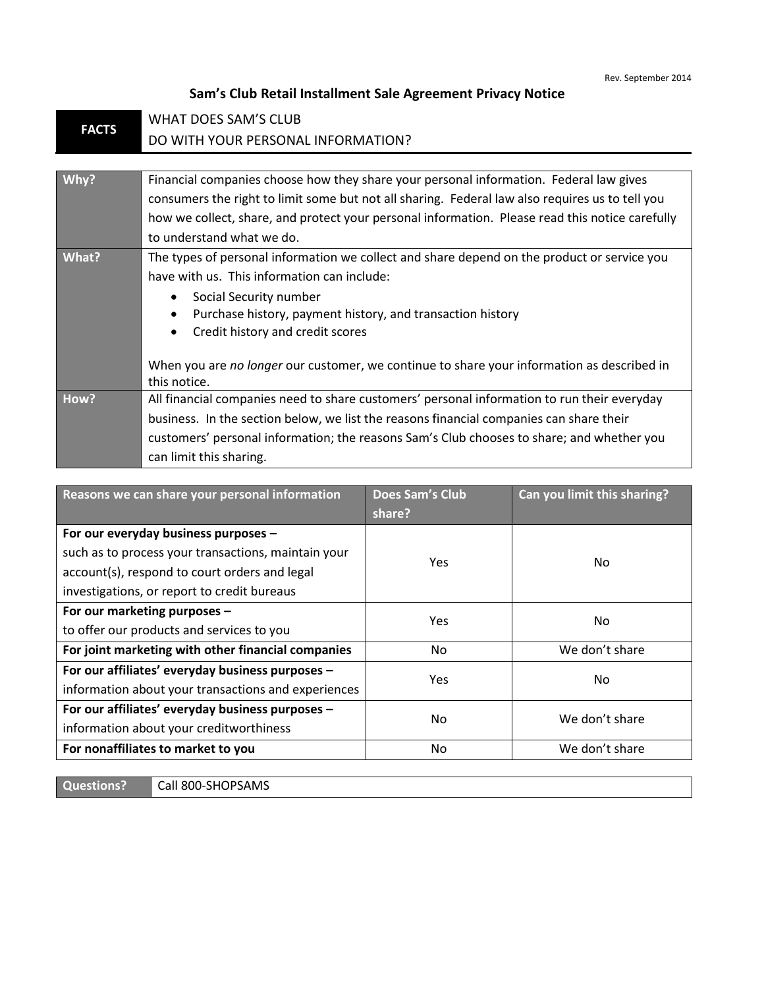## **Sam's Club Retail Installment Sale Agreement Privacy Notice**

| <b>FACTS</b> | WHAT DOES SAM'S CLUB                                                                            |  |  |
|--------------|-------------------------------------------------------------------------------------------------|--|--|
|              | DO WITH YOUR PERSONAL INFORMATION?                                                              |  |  |
|              |                                                                                                 |  |  |
| Why?         | Financial companies choose how they share your personal information. Federal law gives          |  |  |
|              | consumers the right to limit some but not all sharing. Federal law also requires us to tell you |  |  |
|              | how we collect, share, and protect your personal information. Please read this notice carefully |  |  |
|              | to understand what we do.                                                                       |  |  |
| What?        | The types of personal information we collect and share depend on the product or service you     |  |  |
|              | have with us. This information can include:                                                     |  |  |
|              | Social Security number                                                                          |  |  |
|              | Purchase history, payment history, and transaction history                                      |  |  |
|              | Credit history and credit scores                                                                |  |  |
|              |                                                                                                 |  |  |
|              | When you are no longer our customer, we continue to share your information as described in      |  |  |
|              | this notice.                                                                                    |  |  |
| How?         | All financial companies need to share customers' personal information to run their everyday     |  |  |
|              | business. In the section below, we list the reasons financial companies can share their         |  |  |
|              | customers' personal information; the reasons Sam's Club chooses to share; and whether you       |  |  |
|              | can limit this sharing.                                                                         |  |  |

| Reasons we can share your personal information                                                                                                                                              | <b>Does Sam's Club</b><br>share? | Can you limit this sharing? |
|---------------------------------------------------------------------------------------------------------------------------------------------------------------------------------------------|----------------------------------|-----------------------------|
| For our everyday business purposes -<br>such as to process your transactions, maintain your<br>account(s), respond to court orders and legal<br>investigations, or report to credit bureaus | <b>Yes</b>                       | No.                         |
| For our marketing purposes -<br>to offer our products and services to you                                                                                                                   | <b>Yes</b>                       | No.                         |
| For joint marketing with other financial companies                                                                                                                                          | No.                              | We don't share              |
| For our affiliates' everyday business purposes -<br>information about your transactions and experiences                                                                                     | Yes.                             | No.                         |
| For our affiliates' everyday business purposes -<br>information about your creditworthiness                                                                                                 | N <sub>0</sub>                   | We don't share              |
| For nonaffiliates to market to you                                                                                                                                                          | No                               | We don't share              |

**Questions?** Call 800-SHOPSAMS